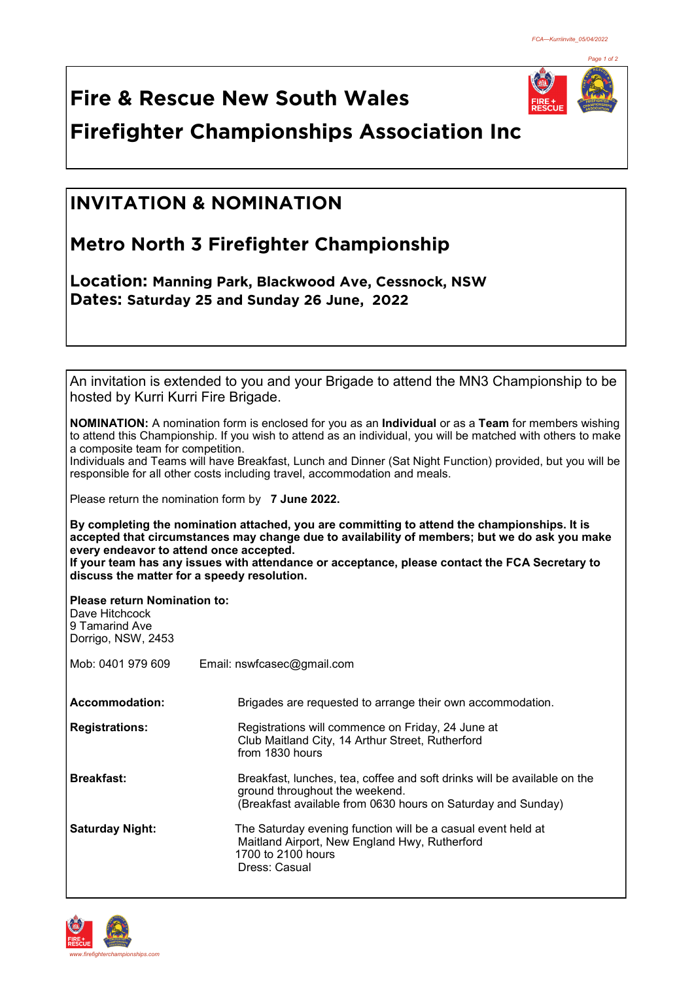

**Fire & Rescue New South Wales Firefighter Championships Association Inc**

## **INVITATION & NOMINATION INVITATION & NOMINATION**

## **Metro North 3 Firefighter Championship**

**Location: Manning Park, Blackwood Ave, Cessnock, NSW Dates: Saturday 25 and Sunday 26 June, 2022** 

| An invitation is extended to you and your Brigade to attend the MN3 Championship to be |
|----------------------------------------------------------------------------------------|
| hosted by Kurri Kurri Fire Brigade.                                                    |
|                                                                                        |

**NOMINATION:** A nomination form is enclosed for you as an **Individual** or as a **Team** for members wishing to attend this Championship. If you wish to attend as an individual, you will be matched with others to make a composite team for competition.

Individuals and Teams will have Breakfast, Lunch and Dinner (Sat Night Function) provided, but you will be responsible for all other costs including travel, accommodation and meals.

Please return the nomination form by **7 June 2022.**

**By completing the nomination attached, you are committing to attend the championships. It is accepted that circumstances may change due to availability of members; but we do ask you make every endeavor to attend once accepted.**

**If your team has any issues with attendance or acceptance, please contact the FCA Secretary to discuss the matter for a speedy resolution.**

**Please return Nomination to:**

| Dave Hitchcock<br>9 Tamarind Ave<br>Dorrigo, NSW, 2453 |                                                                                                                                                                            |
|--------------------------------------------------------|----------------------------------------------------------------------------------------------------------------------------------------------------------------------------|
| Mob: 0401 979 609                                      | Email: nswfcasec@gmail.com                                                                                                                                                 |
| Accommodation:                                         | Brigades are requested to arrange their own accommodation.                                                                                                                 |
| <b>Registrations:</b>                                  | Registrations will commence on Friday, 24 June at<br>Club Maitland City, 14 Arthur Street, Rutherford<br>from 1830 hours                                                   |
| <b>Breakfast:</b>                                      | Breakfast, lunches, tea, coffee and soft drinks will be available on the<br>ground throughout the weekend.<br>(Breakfast available from 0630 hours on Saturday and Sunday) |
| <b>Saturday Night:</b>                                 | The Saturday evening function will be a casual event held at<br>Maitland Airport, New England Hwy, Rutherford<br>1700 to 2100 hours<br>Dress: Casual                       |